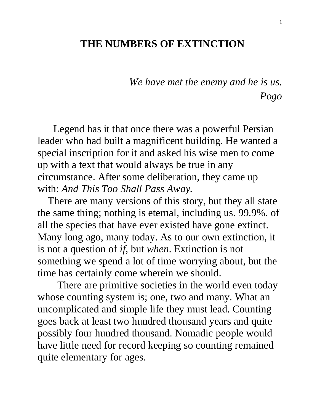#### **THE NUMBERS OF EXTINCTION**

*We have met the enemy and he is us. Pogo*

 Legend has it that once there was a powerful Persian leader who had built a magnificent building. He wanted a special inscription for it and asked his wise men to come up with a text that would always be true in any circumstance. After some deliberation, they came up with: *And This Too Shall Pass Away.* 

 There are many versions of this story, but they all state the same thing; nothing is eternal, including us. 99.9%. of all the species that have ever existed have gone extinct. Many long ago, many today. As to our own extinction, it is not a question of *if*, but *when*. Extinction is not something we spend a lot of time worrying about, but the time has certainly come wherein we should.

 There are primitive societies in the world even today whose counting system is; one, two and many. What an uncomplicated and simple life they must lead. Counting goes back at least two hundred thousand years and quite possibly four hundred thousand. Nomadic people would have little need for record keeping so counting remained quite elementary for ages.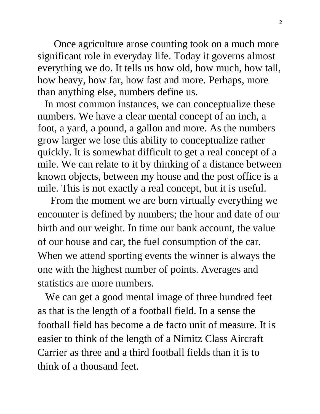Once agriculture arose counting took on a much more significant role in everyday life. Today it governs almost everything we do. It tells us how old, how much, how tall, how heavy, how far, how fast and more. Perhaps, more than anything else, numbers define us.

In most common instances, we can conceptualize these numbers. We have a clear mental concept of an inch, a foot, a yard, a pound, a gallon and more. As the numbers grow larger we lose this ability to conceptualize rather quickly. It is somewhat difficult to get a real concept of a mile. We can relate to it by thinking of a distance between known objects, between my house and the post office is a mile. This is not exactly a real concept, but it is useful.

 From the moment we are born virtually everything we encounter is defined by numbers; the hour and date of our birth and our weight. In time our bank account, the value of our house and car, the fuel consumption of the car. When we attend sporting events the winner is always the one with the highest number of points. Averages and statistics are more numbers.

 We can get a good mental image of three hundred feet as that is the length of a football field. In a sense the football field has become a de facto unit of measure. It is easier to think of the length of a Nimitz Class Aircraft Carrier as three and a third football fields than it is to think of a thousand feet.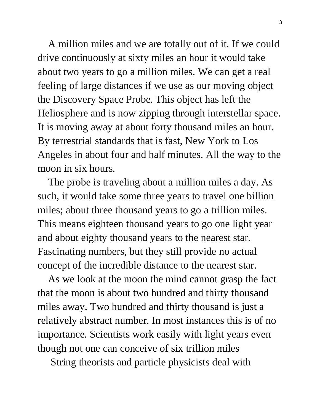A million miles and we are totally out of it. If we could drive continuously at sixty miles an hour it would take about two years to go a million miles. We can get a real feeling of large distances if we use as our moving object the Discovery Space Probe. This object has left the Heliosphere and is now zipping through interstellar space. It is moving away at about forty thousand miles an hour. By terrestrial standards that is fast, New York to Los Angeles in about four and half minutes. All the way to the moon in six hours.

 The probe is traveling about a million miles a day. As such, it would take some three years to travel one billion miles; about three thousand years to go a trillion miles. This means eighteen thousand years to go one light year and about eighty thousand years to the nearest star. Fascinating numbers, but they still provide no actual concept of the incredible distance to the nearest star.

 As we look at the moon the mind cannot grasp the fact that the moon is about two hundred and thirty thousand miles away. Two hundred and thirty thousand is just a relatively abstract number. In most instances this is of no importance. Scientists work easily with light years even though not one can conceive of six trillion miles

String theorists and particle physicists deal with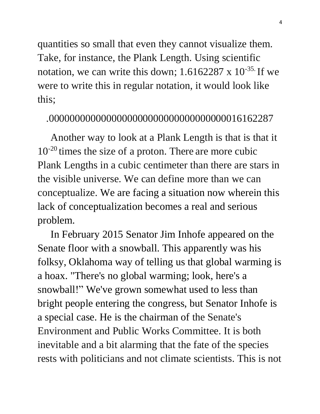quantities so small that even they cannot visualize them. Take, for instance, the Plank Length. Using scientific notation, we can write this down;  $1.6162287 \times 10^{-35}$  If we were to write this in regular notation, it would look like this;

#### .0000000000000000000000000000000000016162287

 Another way to look at a Plank Length is that is that it 10<sup>-20</sup> times the size of a proton. There are more cubic Plank Lengths in a cubic centimeter than there are stars in the visible universe. We can define more than we can conceptualize. We are facing a situation now wherein this lack of conceptualization becomes a real and serious problem.

 In February 2015 Senator Jim Inhofe appeared on the Senate floor with a snowball. This apparently was his folksy, Oklahoma way of telling us that global warming is a hoax. "There's no global warming; look, here's a snowball!" We've grown somewhat used to less than bright people entering the congress, but Senator Inhofe is a special case. He is the chairman of the Senate's Environment and Public Works Committee. It is both inevitable and a bit alarming that the fate of the species rests with politicians and not climate scientists. This is not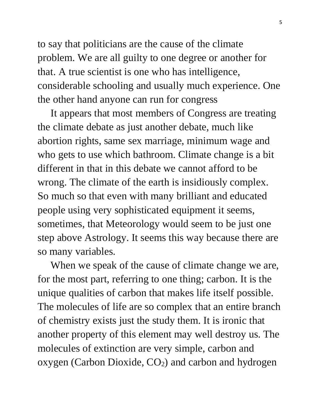to say that politicians are the cause of the climate problem. We are all guilty to one degree or another for that. A true scientist is one who has intelligence, considerable schooling and usually much experience. One the other hand anyone can run for congress

 It appears that most members of Congress are treating the climate debate as just another debate, much like abortion rights, same sex marriage, minimum wage and who gets to use which bathroom. Climate change is a bit different in that in this debate we cannot afford to be wrong. The climate of the earth is insidiously complex. So much so that even with many brilliant and educated people using very sophisticated equipment it seems, sometimes, that Meteorology would seem to be just one step above Astrology. It seems this way because there are so many variables.

 When we speak of the cause of climate change we are, for the most part, referring to one thing; carbon. It is the unique qualities of carbon that makes life itself possible. The molecules of life are so complex that an entire branch of chemistry exists just the study them. It is ironic that another property of this element may well destroy us. The molecules of extinction are very simple, carbon and oxygen (Carbon Dioxide,  $CO<sub>2</sub>$ ) and carbon and hydrogen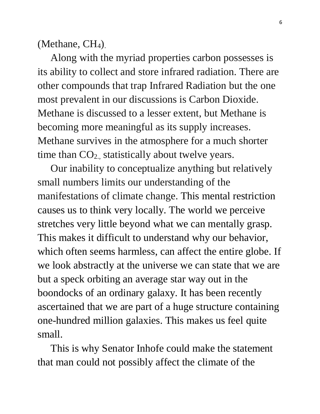(Methane, CH<sub>4</sub>).

 Along with the myriad properties carbon possesses is its ability to collect and store infrared radiation. There are other compounds that trap Infrared Radiation but the one most prevalent in our discussions is Carbon Dioxide. Methane is discussed to a lesser extent, but Methane is becoming more meaningful as its supply increases. Methane survives in the atmosphere for a much shorter time than  $CO<sub>2</sub>$ , statistically about twelve years.

 Our inability to conceptualize anything but relatively small numbers limits our understanding of the manifestations of climate change. This mental restriction causes us to think very locally. The world we perceive stretches very little beyond what we can mentally grasp. This makes it difficult to understand why our behavior, which often seems harmless, can affect the entire globe. If we look abstractly at the universe we can state that we are but a speck orbiting an average star way out in the boondocks of an ordinary galaxy. It has been recently ascertained that we are part of a huge structure containing one-hundred million galaxies. This makes us feel quite small.

 This is why Senator Inhofe could make the statement that man could not possibly affect the climate of the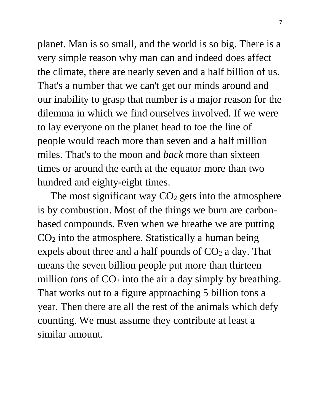planet. Man is so small, and the world is so big. There is a very simple reason why man can and indeed does affect the climate, there are nearly seven and a half billion of us. That's a number that we can't get our minds around and our inability to grasp that number is a major reason for the dilemma in which we find ourselves involved. If we were to lay everyone on the planet head to toe the line of people would reach more than seven and a half million miles. That's to the moon and *back* more than sixteen times or around the earth at the equator more than two hundred and eighty-eight times.

The most significant way  $CO<sub>2</sub>$  gets into the atmosphere is by combustion. Most of the things we burn are carbonbased compounds. Even when we breathe we are putting  $CO<sub>2</sub>$  into the atmosphere. Statistically a human being expels about three and a half pounds of  $CO<sub>2</sub>$  a day. That means the seven billion people put more than thirteen million *tons* of CO<sub>2</sub> into the air a day simply by breathing. That works out to a figure approaching 5 billion tons a year. Then there are all the rest of the animals which defy counting. We must assume they contribute at least a similar amount.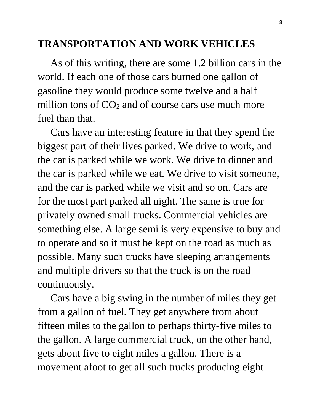#### **TRANSPORTATION AND WORK VEHICLES**

 As of this writing, there are some 1.2 billion cars in the world. If each one of those cars burned one gallon of gasoline they would produce some twelve and a half million tons of  $CO<sub>2</sub>$  and of course cars use much more fuel than that.

 Cars have an interesting feature in that they spend the biggest part of their lives parked. We drive to work, and the car is parked while we work. We drive to dinner and the car is parked while we eat. We drive to visit someone, and the car is parked while we visit and so on. Cars are for the most part parked all night. The same is true for privately owned small trucks. Commercial vehicles are something else. A large semi is very expensive to buy and to operate and so it must be kept on the road as much as possible. Many such trucks have sleeping arrangements and multiple drivers so that the truck is on the road continuously.

 Cars have a big swing in the number of miles they get from a gallon of fuel. They get anywhere from about fifteen miles to the gallon to perhaps thirty-five miles to the gallon. A large commercial truck, on the other hand, gets about five to eight miles a gallon. There is a movement afoot to get all such trucks producing eight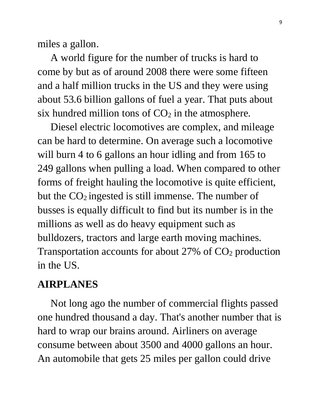miles a gallon.

 A world figure for the number of trucks is hard to come by but as of around 2008 there were some fifteen and a half million trucks in the US and they were using about 53.6 billion gallons of fuel a year. That puts about six hundred million tons of  $CO<sub>2</sub>$  in the atmosphere.

 Diesel electric locomotives are complex, and mileage can be hard to determine. On average such a locomotive will burn 4 to 6 gallons an hour idling and from 165 to 249 gallons when pulling a load. When compared to other forms of freight hauling the locomotive is quite efficient, but the  $CO<sub>2</sub>$  ingested is still immense. The number of busses is equally difficult to find but its number is in the millions as well as do heavy equipment such as bulldozers, tractors and large earth moving machines. Transportation accounts for about  $27\%$  of  $CO<sub>2</sub>$  production in the US.

# **AIRPLANES**

 Not long ago the number of commercial flights passed one hundred thousand a day. That's another number that is hard to wrap our brains around. Airliners on average consume between about 3500 and 4000 gallons an hour. An automobile that gets 25 miles per gallon could drive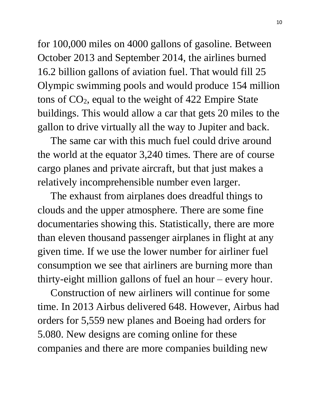for 100,000 miles on 4000 gallons of gasoline. Between October 2013 and September 2014, the airlines burned 16.2 billion gallons of aviation fuel. That would fill 25 Olympic swimming pools and would produce 154 million tons of CO2, equal to the weight of 422 Empire State buildings. This would allow a car that gets 20 miles to the gallon to drive virtually all the way to Jupiter and back.

 The same car with this much fuel could drive around the world at the equator 3,240 times. There are of course cargo planes and private aircraft, but that just makes a relatively incomprehensible number even larger.

 The exhaust from airplanes does dreadful things to clouds and the upper atmosphere. There are some fine documentaries showing this. Statistically, there are more than eleven thousand passenger airplanes in flight at any given time. If we use the lower number for airliner fuel consumption we see that airliners are burning more than thirty-eight million gallons of fuel an hour – every hour.

 Construction of new airliners will continue for some time. In 2013 Airbus delivered 648. However, Airbus had orders for 5,559 new planes and Boeing had orders for 5.080. New designs are coming online for these companies and there are more companies building new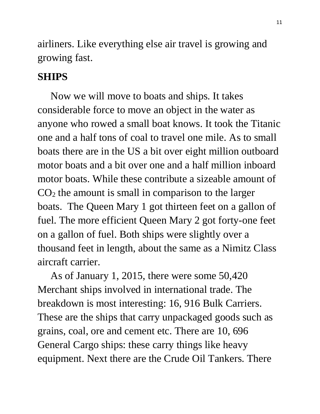airliners. Like everything else air travel is growing and growing fast.

## **SHIPS**

 Now we will move to boats and ships. It takes considerable force to move an object in the water as anyone who rowed a small boat knows. It took the Titanic one and a half tons of coal to travel one mile. As to small boats there are in the US a bit over eight million outboard motor boats and a bit over one and a half million inboard motor boats. While these contribute a sizeable amount of  $CO<sub>2</sub>$  the amount is small in comparison to the larger boats. The Queen Mary 1 got thirteen feet on a gallon of fuel. The more efficient Queen Mary 2 got forty-one feet on a gallon of fuel. Both ships were slightly over a thousand feet in length, about the same as a Nimitz Class aircraft carrier.

 As of January 1, 2015, there were some 50,420 Merchant ships involved in international trade. The breakdown is most interesting: 16, 916 Bulk Carriers. These are the ships that carry unpackaged goods such as grains, coal, ore and cement etc. There are 10, 696 General Cargo ships: these carry things like heavy equipment. Next there are the Crude Oil Tankers. There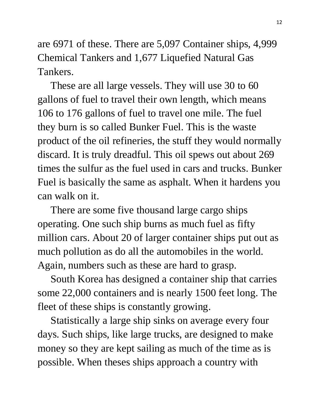are 6971 of these. There are 5,097 Container ships, 4,999 Chemical Tankers and 1,677 Liquefied Natural Gas Tankers.

 These are all large vessels. They will use 30 to 60 gallons of fuel to travel their own length, which means 106 to 176 gallons of fuel to travel one mile. The fuel they burn is so called Bunker Fuel. This is the waste product of the oil refineries, the stuff they would normally discard. It is truly dreadful. This oil spews out about 269 times the sulfur as the fuel used in cars and trucks. Bunker Fuel is basically the same as asphalt. When it hardens you can walk on it.

 There are some five thousand large cargo ships operating. One such ship burns as much fuel as fifty million cars. About 20 of larger container ships put out as much pollution as do all the automobiles in the world. Again, numbers such as these are hard to grasp.

 South Korea has designed a container ship that carries some 22,000 containers and is nearly 1500 feet long. The fleet of these ships is constantly growing.

 Statistically a large ship sinks on average every four days. Such ships, like large trucks, are designed to make money so they are kept sailing as much of the time as is possible. When theses ships approach a country with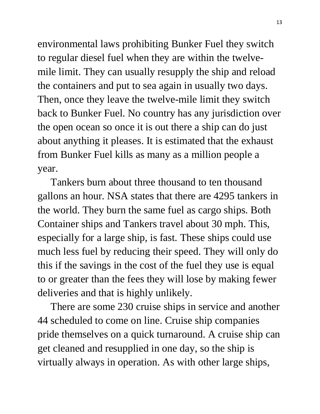environmental laws prohibiting Bunker Fuel they switch to regular diesel fuel when they are within the twelvemile limit. They can usually resupply the ship and reload the containers and put to sea again in usually two days. Then, once they leave the twelve-mile limit they switch back to Bunker Fuel. No country has any jurisdiction over the open ocean so once it is out there a ship can do just about anything it pleases. It is estimated that the exhaust from Bunker Fuel kills as many as a million people a year.

 Tankers burn about three thousand to ten thousand gallons an hour. NSA states that there are 4295 tankers in the world. They burn the same fuel as cargo ships. Both Container ships and Tankers travel about 30 mph. This, especially for a large ship, is fast. These ships could use much less fuel by reducing their speed. They will only do this if the savings in the cost of the fuel they use is equal to or greater than the fees they will lose by making fewer deliveries and that is highly unlikely.

 There are some 230 cruise ships in service and another 44 scheduled to come on line. Cruise ship companies pride themselves on a quick turnaround. A cruise ship can get cleaned and resupplied in one day, so the ship is virtually always in operation. As with other large ships,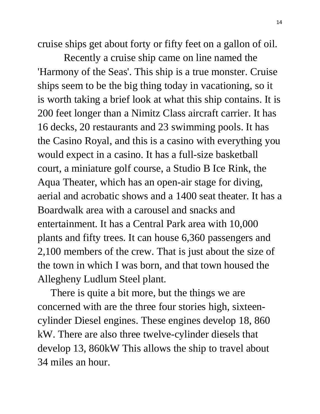cruise ships get about forty or fifty feet on a gallon of oil.

 Recently a cruise ship came on line named the 'Harmony of the Seas'. This ship is a true monster. Cruise ships seem to be the big thing today in vacationing, so it is worth taking a brief look at what this ship contains. It is 200 feet longer than a Nimitz Class aircraft carrier. It has 16 decks, 20 restaurants and 23 swimming pools. It has the Casino Royal, and this is a casino with everything you would expect in a casino. It has a full-size basketball court, a miniature golf course, a Studio B Ice Rink, the Aqua Theater, which has an open-air stage for diving, aerial and acrobatic shows and a 1400 seat theater. It has a Boardwalk area with a carousel and snacks and entertainment. It has a Central Park area with 10,000 plants and fifty trees. It can house 6,360 passengers and 2,100 members of the crew. That is just about the size of the town in which I was born, and that town housed the Allegheny Ludlum Steel plant.

 There is quite a bit more, but the things we are concerned with are the three four stories high, sixteencylinder Diesel engines. These engines develop 18, 860 kW. There are also three twelve-cylinder diesels that develop 13, 860kW This allows the ship to travel about 34 miles an hour.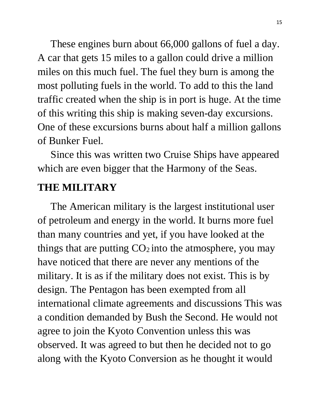These engines burn about 66,000 gallons of fuel a day. A car that gets 15 miles to a gallon could drive a million miles on this much fuel. The fuel they burn is among the most polluting fuels in the world. To add to this the land traffic created when the ship is in port is huge. At the time of this writing this ship is making seven-day excursions. One of these excursions burns about half a million gallons of Bunker Fuel.

 Since this was written two Cruise Ships have appeared which are even bigger that the Harmony of the Seas.

### **THE MILITARY**

 The American military is the largest institutional user of petroleum and energy in the world. It burns more fuel than many countries and yet, if you have looked at the things that are putting  $CO<sub>2</sub>$  into the atmosphere, you may have noticed that there are never any mentions of the military. It is as if the military does not exist. This is by design. The Pentagon has been exempted from all international climate agreements and discussions This was a condition demanded by Bush the Second. He would not agree to join the Kyoto Convention unless this was observed. It was agreed to but then he decided not to go along with the Kyoto Conversion as he thought it would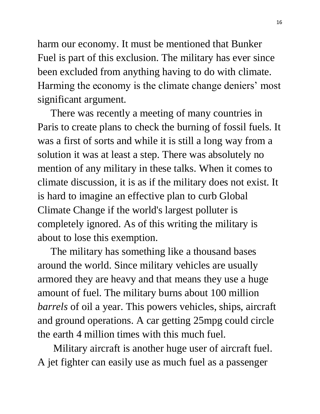harm our economy. It must be mentioned that Bunker Fuel is part of this exclusion. The military has ever since been excluded from anything having to do with climate. Harming the economy is the climate change deniers' most significant argument.

 There was recently a meeting of many countries in Paris to create plans to check the burning of fossil fuels. It was a first of sorts and while it is still a long way from a solution it was at least a step. There was absolutely no mention of any military in these talks. When it comes to climate discussion, it is as if the military does not exist. It is hard to imagine an effective plan to curb Global Climate Change if the world's largest polluter is completely ignored. As of this writing the military is about to lose this exemption.

 The military has something like a thousand bases around the world. Since military vehicles are usually armored they are heavy and that means they use a huge amount of fuel. The military burns about 100 million *barrels* of oil a year. This powers vehicles, ships, aircraft and ground operations. A car getting 25mpg could circle the earth 4 million times with this much fuel.

 Military aircraft is another huge user of aircraft fuel. A jet fighter can easily use as much fuel as a passenger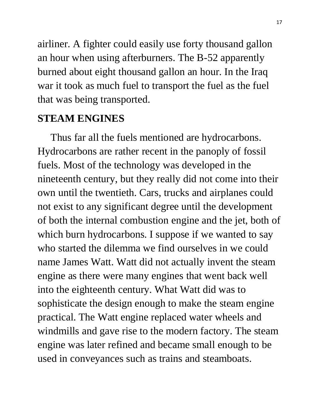airliner. A fighter could easily use forty thousand gallon an hour when using afterburners. The B-52 apparently burned about eight thousand gallon an hour. In the Iraq war it took as much fuel to transport the fuel as the fuel that was being transported.

## **STEAM ENGINES**

 Thus far all the fuels mentioned are hydrocarbons. Hydrocarbons are rather recent in the panoply of fossil fuels. Most of the technology was developed in the nineteenth century, but they really did not come into their own until the twentieth. Cars, trucks and airplanes could not exist to any significant degree until the development of both the internal combustion engine and the jet, both of which burn hydrocarbons. I suppose if we wanted to say who started the dilemma we find ourselves in we could name James Watt. Watt did not actually invent the steam engine as there were many engines that went back well into the eighteenth century. What Watt did was to sophisticate the design enough to make the steam engine practical. The Watt engine replaced water wheels and windmills and gave rise to the modern factory. The steam engine was later refined and became small enough to be used in conveyances such as trains and steamboats.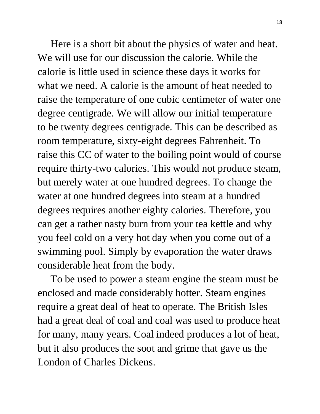Here is a short bit about the physics of water and heat. We will use for our discussion the calorie. While the calorie is little used in science these days it works for what we need. A calorie is the amount of heat needed to raise the temperature of one cubic centimeter of water one degree centigrade. We will allow our initial temperature to be twenty degrees centigrade. This can be described as room temperature, sixty-eight degrees Fahrenheit. To raise this CC of water to the boiling point would of course require thirty-two calories. This would not produce steam, but merely water at one hundred degrees. To change the water at one hundred degrees into steam at a hundred degrees requires another eighty calories. Therefore, you can get a rather nasty burn from your tea kettle and why you feel cold on a very hot day when you come out of a swimming pool. Simply by evaporation the water draws considerable heat from the body.

 To be used to power a steam engine the steam must be enclosed and made considerably hotter. Steam engines require a great deal of heat to operate. The British Isles had a great deal of coal and coal was used to produce heat for many, many years. Coal indeed produces a lot of heat, but it also produces the soot and grime that gave us the London of Charles Dickens.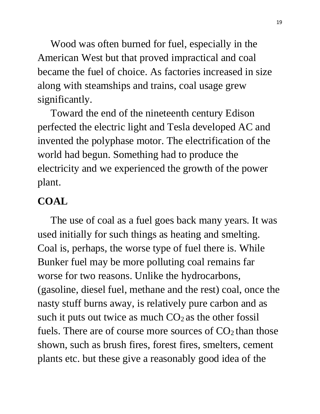Wood was often burned for fuel, especially in the American West but that proved impractical and coal became the fuel of choice. As factories increased in size along with steamships and trains, coal usage grew significantly.

 Toward the end of the nineteenth century Edison perfected the electric light and Tesla developed AC and invented the polyphase motor. The electrification of the world had begun. Something had to produce the electricity and we experienced the growth of the power plant.

## **COAL**

 The use of coal as a fuel goes back many years. It was used initially for such things as heating and smelting. Coal is, perhaps, the worse type of fuel there is. While Bunker fuel may be more polluting coal remains far worse for two reasons. Unlike the hydrocarbons, (gasoline, diesel fuel, methane and the rest) coal, once the nasty stuff burns away, is relatively pure carbon and as such it puts out twice as much  $CO<sub>2</sub>$  as the other fossil fuels. There are of course more sources of  $CO<sub>2</sub>$  than those shown, such as brush fires, forest fires, smelters, cement plants etc. but these give a reasonably good idea of the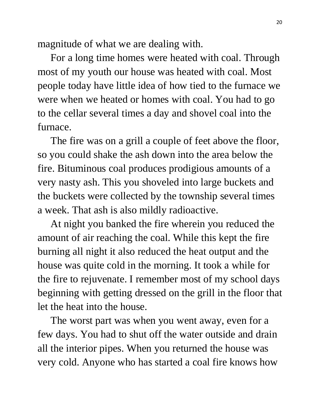magnitude of what we are dealing with.

 For a long time homes were heated with coal. Through most of my youth our house was heated with coal. Most people today have little idea of how tied to the furnace we were when we heated or homes with coal. You had to go to the cellar several times a day and shovel coal into the furnace.

 The fire was on a grill a couple of feet above the floor, so you could shake the ash down into the area below the fire. Bituminous coal produces prodigious amounts of a very nasty ash. This you shoveled into large buckets and the buckets were collected by the township several times a week. That ash is also mildly radioactive.

 At night you banked the fire wherein you reduced the amount of air reaching the coal. While this kept the fire burning all night it also reduced the heat output and the house was quite cold in the morning. It took a while for the fire to rejuvenate. I remember most of my school days beginning with getting dressed on the grill in the floor that let the heat into the house.

 The worst part was when you went away, even for a few days. You had to shut off the water outside and drain all the interior pipes. When you returned the house was very cold. Anyone who has started a coal fire knows how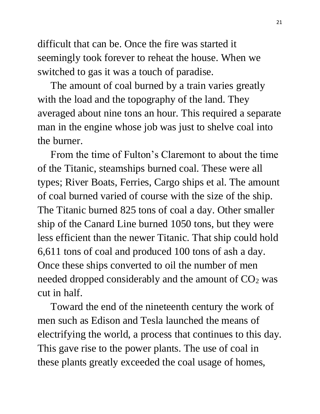difficult that can be. Once the fire was started it seemingly took forever to reheat the house. When we switched to gas it was a touch of paradise.

 The amount of coal burned by a train varies greatly with the load and the topography of the land. They averaged about nine tons an hour. This required a separate man in the engine whose job was just to shelve coal into the burner.

 From the time of Fulton's Claremont to about the time of the Titanic, steamships burned coal. These were all types; River Boats, Ferries, Cargo ships et al. The amount of coal burned varied of course with the size of the ship. The Titanic burned 825 tons of coal a day. Other smaller ship of the Canard Line burned 1050 tons, but they were less efficient than the newer Titanic. That ship could hold 6,611 tons of coal and produced 100 tons of ash a day. Once these ships converted to oil the number of men needed dropped considerably and the amount of  $CO<sub>2</sub>$  was cut in half.

 Toward the end of the nineteenth century the work of men such as Edison and Tesla launched the means of electrifying the world, a process that continues to this day. This gave rise to the power plants. The use of coal in these plants greatly exceeded the coal usage of homes,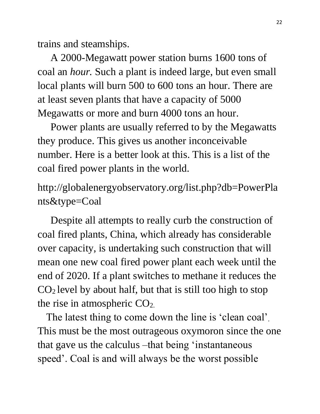trains and steamships.

 A 2000-Megawatt power station burns 1600 tons of coal an *hour.* Such a plant is indeed large, but even small local plants will burn 500 to 600 tons an hour. There are at least seven plants that have a capacity of 5000 Megawatts or more and burn 4000 tons an hour.

 Power plants are usually referred to by the Megawatts they produce. This gives us another inconceivable number. Here is a better look at this. This is a list of the coal fired power plants in the world.

http://globalenergyobservatory.org/list.php?db=PowerPla nts&type=Coal

 Despite all attempts to really curb the construction of coal fired plants, China, which already has considerable over capacity, is undertaking such construction that will mean one new coal fired power plant each week until the end of 2020. If a plant switches to methane it reduces the  $CO<sub>2</sub>$  level by about half, but that is still too high to stop the rise in atmospheric  $CO<sub>2</sub>$ .

 The latest thing to come down the line is 'clean coal'. This must be the most outrageous oxymoron since the one that gave us the calculus –that being 'instantaneous speed'. Coal is and will always be the worst possible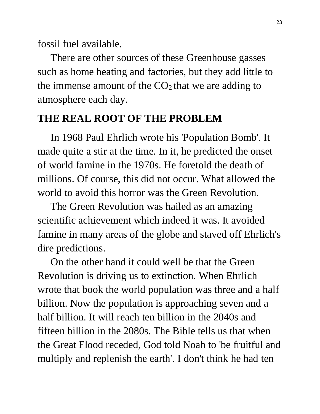fossil fuel available.

 There are other sources of these Greenhouse gasses such as home heating and factories, but they add little to the immense amount of the  $CO<sub>2</sub>$  that we are adding to atmosphere each day.

## **THE REAL ROOT OF THE PROBLEM**

 In 1968 Paul Ehrlich wrote his 'Population Bomb'. It made quite a stir at the time. In it, he predicted the onset of world famine in the 1970s. He foretold the death of millions. Of course, this did not occur. What allowed the world to avoid this horror was the Green Revolution.

 The Green Revolution was hailed as an amazing scientific achievement which indeed it was. It avoided famine in many areas of the globe and staved off Ehrlich's dire predictions.

 On the other hand it could well be that the Green Revolution is driving us to extinction. When Ehrlich wrote that book the world population was three and a half billion. Now the population is approaching seven and a half billion. It will reach ten billion in the 2040s and fifteen billion in the 2080s. The Bible tells us that when the Great Flood receded, God told Noah to 'be fruitful and multiply and replenish the earth'. I don't think he had ten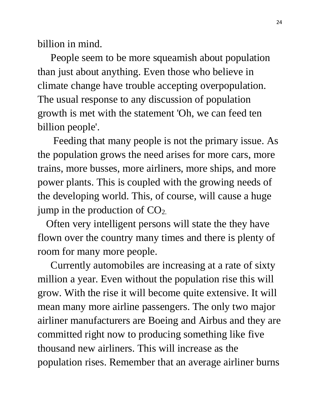billion in mind.

 People seem to be more squeamish about population than just about anything. Even those who believe in climate change have trouble accepting overpopulation. The usual response to any discussion of population growth is met with the statement 'Oh, we can feed ten billion people'.

 Feeding that many people is not the primary issue. As the population grows the need arises for more cars, more trains, more busses, more airliners, more ships, and more power plants. This is coupled with the growing needs of the developing world. This, of course, will cause a huge jump in the production of  $CO<sub>2</sub>$ .

 Often very intelligent persons will state the they have flown over the country many times and there is plenty of room for many more people.

 Currently automobiles are increasing at a rate of sixty million a year. Even without the population rise this will grow. With the rise it will become quite extensive. It will mean many more airline passengers. The only two major airliner manufacturers are Boeing and Airbus and they are committed right now to producing something like five thousand new airliners. This will increase as the population rises. Remember that an average airliner burns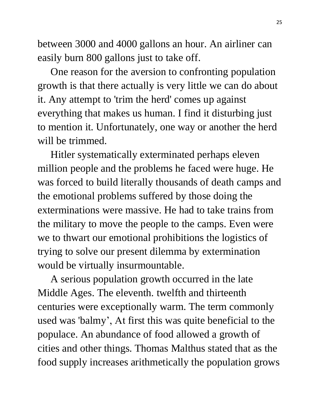between 3000 and 4000 gallons an hour. An airliner can easily burn 800 gallons just to take off.

 One reason for the aversion to confronting population growth is that there actually is very little we can do about it. Any attempt to 'trim the herd' comes up against everything that makes us human. I find it disturbing just to mention it. Unfortunately, one way or another the herd will be trimmed.

 Hitler systematically exterminated perhaps eleven million people and the problems he faced were huge. He was forced to build literally thousands of death camps and the emotional problems suffered by those doing the exterminations were massive. He had to take trains from the military to move the people to the camps. Even were we to thwart our emotional prohibitions the logistics of trying to solve our present dilemma by extermination would be virtually insurmountable.

 A serious population growth occurred in the late Middle Ages. The eleventh. twelfth and thirteenth centuries were exceptionally warm. The term commonly used was 'balmy', At first this was quite beneficial to the populace. An abundance of food allowed a growth of cities and other things. Thomas Malthus stated that as the food supply increases arithmetically the population grows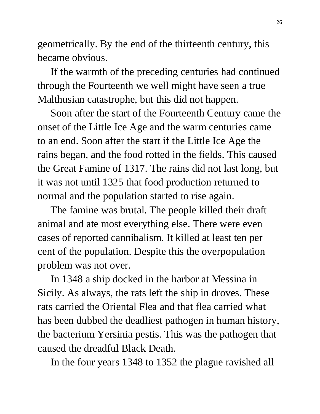geometrically. By the end of the thirteenth century, this became obvious.

 If the warmth of the preceding centuries had continued through the Fourteenth we well might have seen a true Malthusian catastrophe, but this did not happen.

 Soon after the start of the Fourteenth Century came the onset of the Little Ice Age and the warm centuries came to an end. Soon after the start if the Little Ice Age the rains began, and the food rotted in the fields. This caused the Great Famine of 1317. The rains did not last long, but it was not until 1325 that food production returned to normal and the population started to rise again.

 The famine was brutal. The people killed their draft animal and ate most everything else. There were even cases of reported cannibalism. It killed at least ten per cent of the population. Despite this the overpopulation problem was not over.

 In 1348 a ship docked in the harbor at Messina in Sicily. As always, the rats left the ship in droves. These rats carried the Oriental Flea and that flea carried what has been dubbed the deadliest pathogen in human history, the bacterium Yersinia pestis. This was the pathogen that caused the dreadful Black Death.

In the four years 1348 to 1352 the plague ravished all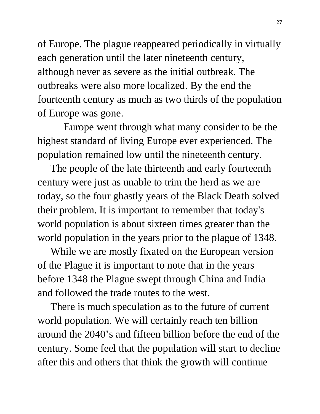of Europe. The plague reappeared periodically in virtually each generation until the later nineteenth century, although never as severe as the initial outbreak. The outbreaks were also more localized. By the end the fourteenth century as much as two thirds of the population of Europe was gone.

 Europe went through what many consider to be the highest standard of living Europe ever experienced. The population remained low until the nineteenth century.

 The people of the late thirteenth and early fourteenth century were just as unable to trim the herd as we are today, so the four ghastly years of the Black Death solved their problem. It is important to remember that today's world population is about sixteen times greater than the world population in the years prior to the plague of 1348.

 While we are mostly fixated on the European version of the Plague it is important to note that in the years before 1348 the Plague swept through China and India and followed the trade routes to the west.

 There is much speculation as to the future of current world population. We will certainly reach ten billion around the 2040's and fifteen billion before the end of the century. Some feel that the population will start to decline after this and others that think the growth will continue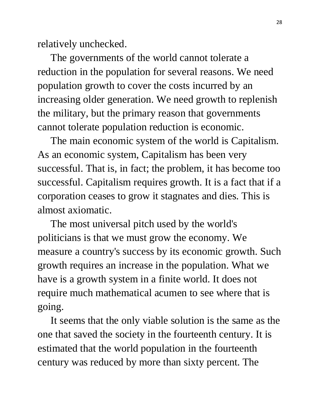relatively unchecked.

 The governments of the world cannot tolerate a reduction in the population for several reasons. We need population growth to cover the costs incurred by an increasing older generation. We need growth to replenish the military, but the primary reason that governments cannot tolerate population reduction is economic.

 The main economic system of the world is Capitalism. As an economic system, Capitalism has been very successful. That is, in fact; the problem, it has become too successful. Capitalism requires growth. It is a fact that if a corporation ceases to grow it stagnates and dies. This is almost axiomatic.

 The most universal pitch used by the world's politicians is that we must grow the economy. We measure a country's success by its economic growth. Such growth requires an increase in the population. What we have is a growth system in a finite world. It does not require much mathematical acumen to see where that is going.

 It seems that the only viable solution is the same as the one that saved the society in the fourteenth century. It is estimated that the world population in the fourteenth century was reduced by more than sixty percent. The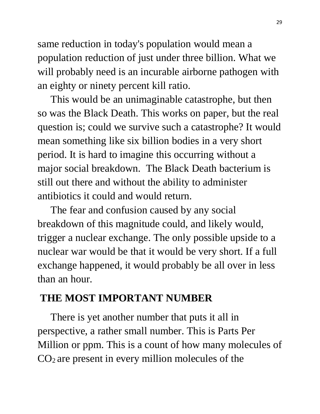same reduction in today's population would mean a population reduction of just under three billion. What we will probably need is an incurable airborne pathogen with an eighty or ninety percent kill ratio.

 This would be an unimaginable catastrophe, but then so was the Black Death. This works on paper, but the real question is; could we survive such a catastrophe? It would mean something like six billion bodies in a very short period. It is hard to imagine this occurring without a major social breakdown. The Black Death bacterium is still out there and without the ability to administer antibiotics it could and would return.

 The fear and confusion caused by any social breakdown of this magnitude could, and likely would, trigger a nuclear exchange. The only possible upside to a nuclear war would be that it would be very short. If a full exchange happened, it would probably be all over in less than an hour.

# **THE MOST IMPORTANT NUMBER**

 There is yet another number that puts it all in perspective, a rather small number. This is Parts Per Million or ppm. This is a count of how many molecules of  $CO<sub>2</sub>$  are present in every million molecules of the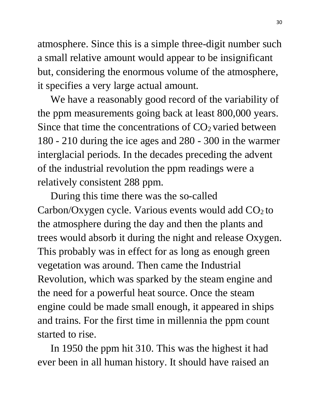atmosphere. Since this is a simple three-digit number such a small relative amount would appear to be insignificant but, considering the enormous volume of the atmosphere, it specifies a very large actual amount.

 We have a reasonably good record of the variability of the ppm measurements going back at least 800,000 years. Since that time the concentrations of  $CO<sub>2</sub>$  varied between 180 - 210 during the ice ages and 280 - 300 in the warmer interglacial periods. In the decades preceding the advent of the industrial revolution the ppm readings were a relatively consistent 288 ppm.

 During this time there was the so-called Carbon/Oxygen cycle. Various events would add  $CO<sub>2</sub>$  to the atmosphere during the day and then the plants and trees would absorb it during the night and release Oxygen. This probably was in effect for as long as enough green vegetation was around. Then came the Industrial Revolution, which was sparked by the steam engine and the need for a powerful heat source. Once the steam engine could be made small enough, it appeared in ships and trains. For the first time in millennia the ppm count started to rise.

 In 1950 the ppm hit 310. This was the highest it had ever been in all human history. It should have raised an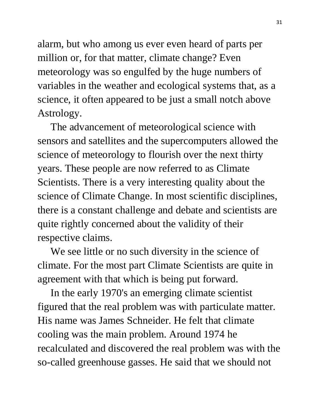alarm, but who among us ever even heard of parts per million or, for that matter, climate change? Even meteorology was so engulfed by the huge numbers of variables in the weather and ecological systems that, as a science, it often appeared to be just a small notch above Astrology.

 The advancement of meteorological science with sensors and satellites and the supercomputers allowed the science of meteorology to flourish over the next thirty years. These people are now referred to as Climate Scientists. There is a very interesting quality about the science of Climate Change. In most scientific disciplines, there is a constant challenge and debate and scientists are quite rightly concerned about the validity of their respective claims.

 We see little or no such diversity in the science of climate. For the most part Climate Scientists are quite in agreement with that which is being put forward.

 In the early 1970's an emerging climate scientist figured that the real problem was with particulate matter. His name was James Schneider. He felt that climate cooling was the main problem. Around 1974 he recalculated and discovered the real problem was with the so-called greenhouse gasses. He said that we should not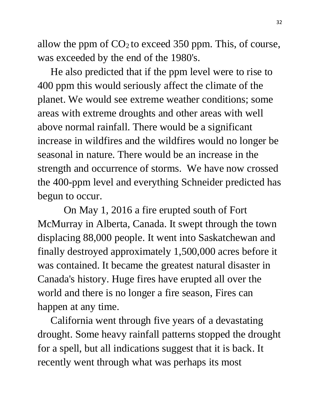allow the ppm of  $CO<sub>2</sub>$  to exceed 350 ppm. This, of course, was exceeded by the end of the 1980's.

 He also predicted that if the ppm level were to rise to 400 ppm this would seriously affect the climate of the planet. We would see extreme weather conditions; some areas with extreme droughts and other areas with well above normal rainfall. There would be a significant increase in wildfires and the wildfires would no longer be seasonal in nature. There would be an increase in the strength and occurrence of storms. We have now crossed the 400-ppm level and everything Schneider predicted has begun to occur.

 On May 1, 2016 a fire erupted south of Fort McMurray in Alberta, Canada. It swept through the town displacing 88,000 people. It went into Saskatchewan and finally destroyed approximately 1,500,000 acres before it was contained. It became the greatest natural disaster in Canada's history. Huge fires have erupted all over the world and there is no longer a fire season, Fires can happen at any time.

 California went through five years of a devastating drought. Some heavy rainfall patterns stopped the drought for a spell, but all indications suggest that it is back. It recently went through what was perhaps its most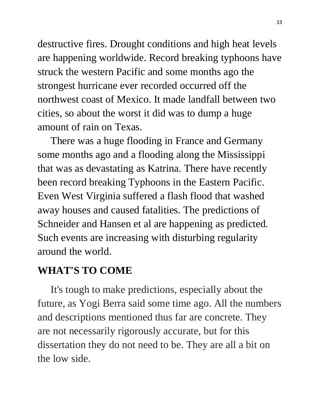destructive fires. Drought conditions and high heat levels are happening worldwide. Record breaking typhoons have struck the western Pacific and some months ago the strongest hurricane ever recorded occurred off the northwest coast of Mexico. It made landfall between two cities, so about the worst it did was to dump a huge amount of rain on Texas.

 There was a huge flooding in France and Germany some months ago and a flooding along the Mississippi that was as devastating as Katrina. There have recently been record breaking Typhoons in the Eastern Pacific. Even West Virginia suffered a flash flood that washed away houses and caused fatalities. The predictions of Schneider and Hansen et al are happening as predicted. Such events are increasing with disturbing regularity around the world.

# **WHAT'S TO COME**

 It's tough to make predictions, especially about the future, as Yogi Berra said some time ago. All the numbers and descriptions mentioned thus far are concrete. They are not necessarily rigorously accurate, but for this dissertation they do not need to be. They are all a bit on the low side.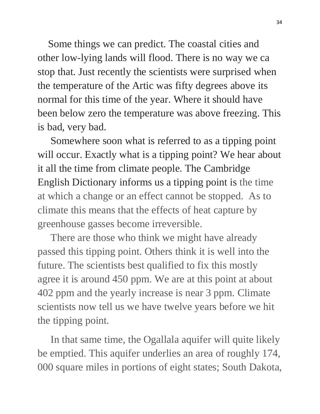Some things we can predict. The coastal cities and other low-lying lands will flood. There is no way we ca stop that. Just recently the scientists were surprised when the temperature of the Artic was fifty degrees above its normal for this time of the year. Where it should have been below zero the temperature was above freezing. This is bad, very bad.

 Somewhere soon what is referred to as a tipping point will occur. Exactly what is a tipping point? We hear about it all the time from climate people. The Cambridge English Dictionary informs us a tipping point is the time at which a change or an effect cannot be stopped. As to climate this means that the effects of heat capture by greenhouse gasses become irreversible.

 There are those who think we might have already passed this tipping point. Others think it is well into the future. The scientists best qualified to fix this mostly agree it is around 450 ppm. We are at this point at about 402 ppm and the yearly increase is near 3 ppm. Climate scientists now tell us we have twelve years before we hit the tipping point.

 In that same time, the Ogallala aquifer will quite likely be emptied. This aquifer underlies an area of roughly 174, 000 square miles in portions of eight states; South Dakota,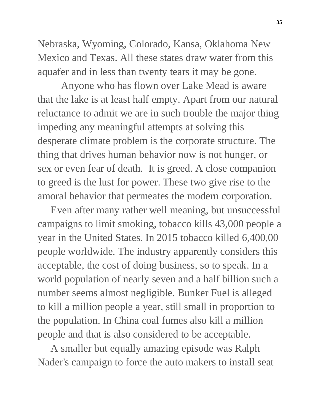Nebraska, Wyoming, Colorado, Kansa, Oklahoma New Mexico and Texas. All these states draw water from this aquafer and in less than twenty tears it may be gone.

 Anyone who has flown over Lake Mead is aware that the lake is at least half empty. Apart from our natural reluctance to admit we are in such trouble the major thing impeding any meaningful attempts at solving this desperate climate problem is the corporate structure. The thing that drives human behavior now is not hunger, or sex or even fear of death. It is greed. A close companion to greed is the lust for power. These two give rise to the amoral behavior that permeates the modern corporation.

 Even after many rather well meaning, but unsuccessful campaigns to limit smoking, tobacco kills 43,000 people a year in the United States. In 2015 tobacco killed 6,400,00 people worldwide. The industry apparently considers this acceptable, the cost of doing business, so to speak. In a world population of nearly seven and a half billion such a number seems almost negligible. Bunker Fuel is alleged to kill a million people a year, still small in proportion to the population. In China coal fumes also kill a million people and that is also considered to be acceptable.

 A smaller but equally amazing episode was Ralph Nader's campaign to force the auto makers to install seat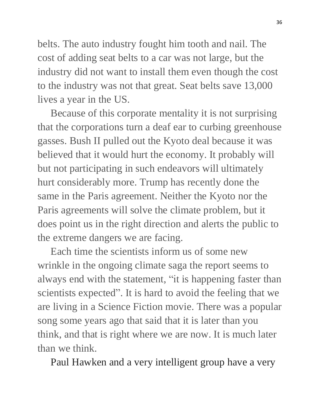belts. The auto industry fought him tooth and nail. The cost of adding seat belts to a car was not large, but the industry did not want to install them even though the cost to the industry was not that great. Seat belts save 13,000 lives a year in the US.

 Because of this corporate mentality it is not surprising that the corporations turn a deaf ear to curbing greenhouse gasses. Bush II pulled out the Kyoto deal because it was believed that it would hurt the economy. It probably will but not participating in such endeavors will ultimately hurt considerably more. Trump has recently done the same in the Paris agreement. Neither the Kyoto nor the Paris agreements will solve the climate problem, but it does point us in the right direction and alerts the public to the extreme dangers we are facing.

 Each time the scientists inform us of some new wrinkle in the ongoing climate saga the report seems to always end with the statement, "it is happening faster than scientists expected". It is hard to avoid the feeling that we are living in a Science Fiction movie. There was a popular song some years ago that said that it is later than you think, and that is right where we are now. It is much later than we think.

Paul Hawken and a very intelligent group have a very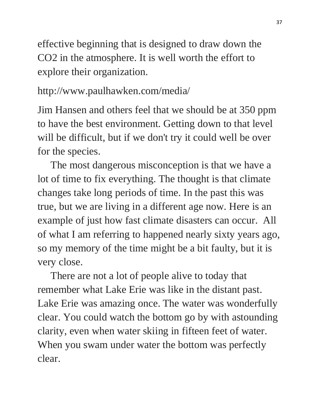effective beginning that is designed to draw down the CO2 in the atmosphere. It is well worth the effort to explore their organization.

```
http://www.paulhawken.com/media/
```
Jim Hansen and others feel that we should be at 350 ppm to have the best environment. Getting down to that level will be difficult, but if we don't try it could well be over for the species.

 The most dangerous misconception is that we have a lot of time to fix everything. The thought is that climate changes take long periods of time. In the past this was true, but we are living in a different age now. Here is an example of just how fast climate disasters can occur. All of what I am referring to happened nearly sixty years ago, so my memory of the time might be a bit faulty, but it is very close.

 There are not a lot of people alive to today that remember what Lake Erie was like in the distant past. Lake Erie was amazing once. The water was wonderfully clear. You could watch the bottom go by with astounding clarity, even when water skiing in fifteen feet of water. When you swam under water the bottom was perfectly clear.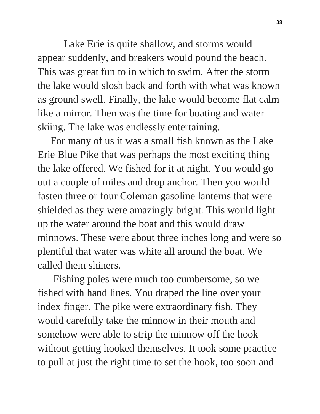Lake Erie is quite shallow, and storms would appear suddenly, and breakers would pound the beach. This was great fun to in which to swim. After the storm the lake would slosh back and forth with what was known as ground swell. Finally, the lake would become flat calm like a mirror. Then was the time for boating and water skiing. The lake was endlessly entertaining.

 For many of us it was a small fish known as the Lake Erie Blue Pike that was perhaps the most exciting thing the lake offered. We fished for it at night. You would go out a couple of miles and drop anchor. Then you would fasten three or four Coleman gasoline lanterns that were shielded as they were amazingly bright. This would light up the water around the boat and this would draw minnows. These were about three inches long and were so plentiful that water was white all around the boat. We called them shiners.

 Fishing poles were much too cumbersome, so we fished with hand lines. You draped the line over your index finger. The pike were extraordinary fish. They would carefully take the minnow in their mouth and somehow were able to strip the minnow off the hook without getting hooked themselves. It took some practice to pull at just the right time to set the hook, too soon and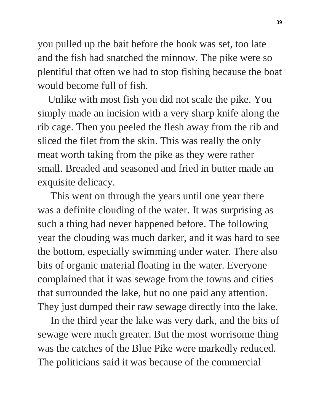you pulled up the bait before the hook was set, too late and the fish had snatched the minnow. The pike were so plentiful that often we had to stop fishing because the boat would become full of fish.

 Unlike with most fish you did not scale the pike. You simply made an incision with a very sharp knife along the rib cage. Then you peeled the flesh away from the rib and sliced the filet from the skin. This was really the only meat worth taking from the pike as they were rather small. Breaded and seasoned and fried in butter made an exquisite delicacy.

 This went on through the years until one year there was a definite clouding of the water. It was surprising as such a thing had never happened before. The following year the clouding was much darker, and it was hard to see the bottom, especially swimming under water. There also bits of organic material floating in the water. Everyone complained that it was sewage from the towns and cities that surrounded the lake, but no one paid any attention. They just dumped their raw sewage directly into the lake.

 In the third year the lake was very dark, and the bits of sewage were much greater. But the most worrisome thing was the catches of the Blue Pike were markedly reduced. The politicians said it was because of the commercial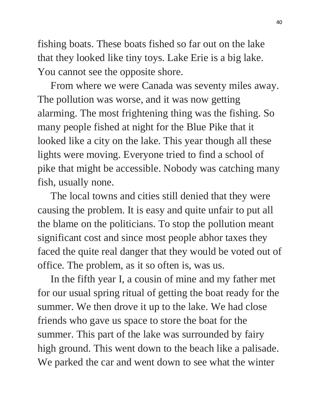fishing boats. These boats fished so far out on the lake that they looked like tiny toys. Lake Erie is a big lake. You cannot see the opposite shore.

 From where we were Canada was seventy miles away. The pollution was worse, and it was now getting alarming. The most frightening thing was the fishing. So many people fished at night for the Blue Pike that it looked like a city on the lake. This year though all these lights were moving. Everyone tried to find a school of pike that might be accessible. Nobody was catching many fish, usually none.

 The local towns and cities still denied that they were causing the problem. It is easy and quite unfair to put all the blame on the politicians. To stop the pollution meant significant cost and since most people abhor taxes they faced the quite real danger that they would be voted out of office. The problem, as it so often is, was us.

 In the fifth year I, a cousin of mine and my father met for our usual spring ritual of getting the boat ready for the summer. We then drove it up to the lake. We had close friends who gave us space to store the boat for the summer. This part of the lake was surrounded by fairy high ground. This went down to the beach like a palisade. We parked the car and went down to see what the winter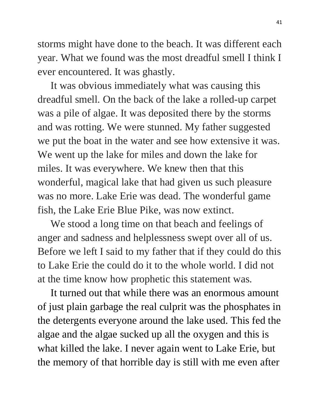storms might have done to the beach. It was different each year. What we found was the most dreadful smell I think I ever encountered. It was ghastly.

 It was obvious immediately what was causing this dreadful smell. On the back of the lake a rolled-up carpet was a pile of algae. It was deposited there by the storms and was rotting. We were stunned. My father suggested we put the boat in the water and see how extensive it was. We went up the lake for miles and down the lake for miles. It was everywhere. We knew then that this wonderful, magical lake that had given us such pleasure was no more. Lake Erie was dead. The wonderful game fish, the Lake Erie Blue Pike, was now extinct.

 We stood a long time on that beach and feelings of anger and sadness and helplessness swept over all of us. Before we left I said to my father that if they could do this to Lake Erie the could do it to the whole world. I did not at the time know how prophetic this statement was.

 It turned out that while there was an enormous amount of just plain garbage the real culprit was the phosphates in the detergents everyone around the lake used. This fed the algae and the algae sucked up all the oxygen and this is what killed the lake. I never again went to Lake Erie, but the memory of that horrible day is still with me even after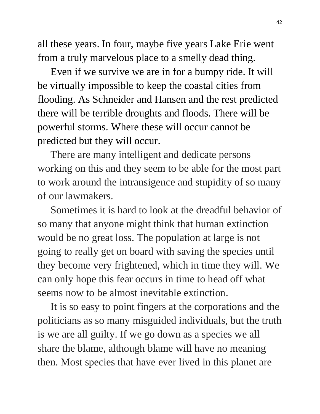all these years. In four, maybe five years Lake Erie went from a truly marvelous place to a smelly dead thing.

 Even if we survive we are in for a bumpy ride. It will be virtually impossible to keep the coastal cities from flooding. As Schneider and Hansen and the rest predicted there will be terrible droughts and floods. There will be powerful storms. Where these will occur cannot be predicted but they will occur.

 There are many intelligent and dedicate persons working on this and they seem to be able for the most part to work around the intransigence and stupidity of so many of our lawmakers.

 Sometimes it is hard to look at the dreadful behavior of so many that anyone might think that human extinction would be no great loss. The population at large is not going to really get on board with saving the species until they become very frightened, which in time they will. We can only hope this fear occurs in time to head off what seems now to be almost inevitable extinction.

 It is so easy to point fingers at the corporations and the politicians as so many misguided individuals, but the truth is we are all guilty. If we go down as a species we all share the blame, although blame will have no meaning then. Most species that have ever lived in this planet are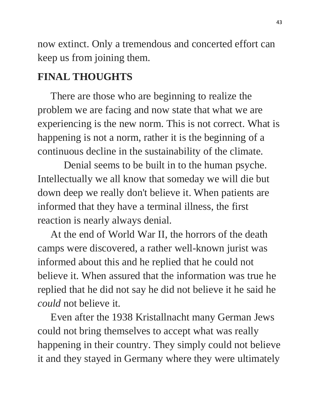now extinct. Only a tremendous and concerted effort can keep us from joining them.

# **FINAL THOUGHTS**

There are those who are beginning to realize the problem we are facing and now state that what we are experiencing is the new norm. This is not correct. What is happening is not a norm, rather it is the beginning of a continuous decline in the sustainability of the climate.

 Denial seems to be built in to the human psyche. Intellectually we all know that someday we will die but down deep we really don't believe it. When patients are informed that they have a terminal illness, the first reaction is nearly always denial.

 At the end of World War II, the horrors of the death camps were discovered, a rather well-known jurist was informed about this and he replied that he could not believe it. When assured that the information was true he replied that he did not say he did not believe it he said he *could* not believe it.

 Even after the 1938 Kristallnacht many German Jews could not bring themselves to accept what was really happening in their country. They simply could not believe it and they stayed in Germany where they were ultimately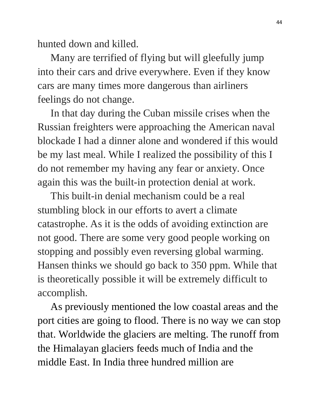hunted down and killed.

 Many are terrified of flying but will gleefully jump into their cars and drive everywhere. Even if they know cars are many times more dangerous than airliners feelings do not change.

 In that day during the Cuban missile crises when the Russian freighters were approaching the American naval blockade I had a dinner alone and wondered if this would be my last meal. While I realized the possibility of this I do not remember my having any fear or anxiety. Once again this was the built-in protection denial at work.

 This built-in denial mechanism could be a real stumbling block in our efforts to avert a climate catastrophe. As it is the odds of avoiding extinction are not good. There are some very good people working on stopping and possibly even reversing global warming. Hansen thinks we should go back to 350 ppm. While that is theoretically possible it will be extremely difficult to accomplish.

 As previously mentioned the low coastal areas and the port cities are going to flood. There is no way we can stop that. Worldwide the glaciers are melting. The runoff from the Himalayan glaciers feeds much of India and the middle East. In India three hundred million are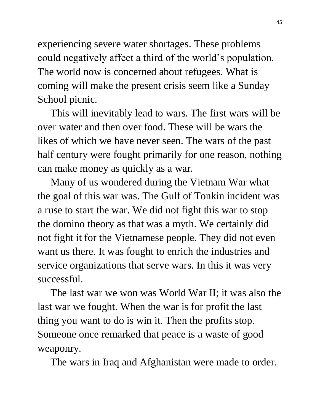experiencing severe water shortages. These problems could negatively affect a third of the world's population. The world now is concerned about refugees. What is coming will make the present crisis seem like a Sunday School picnic.

 This will inevitably lead to wars. The first wars will be over water and then over food. These will be wars the likes of which we have never seen. The wars of the past half century were fought primarily for one reason, nothing can make money as quickly as a war.

 Many of us wondered during the Vietnam War what the goal of this war was. The Gulf of Tonkin incident was a ruse to start the war. We did not fight this war to stop the domino theory as that was a myth. We certainly did not fight it for the Vietnamese people. They did not even want us there. It was fought to enrich the industries and service organizations that serve wars. In this it was very successful.

 The last war we won was World War II; it was also the last war we fought. When the war is for profit the last thing you want to do is win it. Then the profits stop. Someone once remarked that peace is a waste of good weaponry.

The wars in Iraq and Afghanistan were made to order.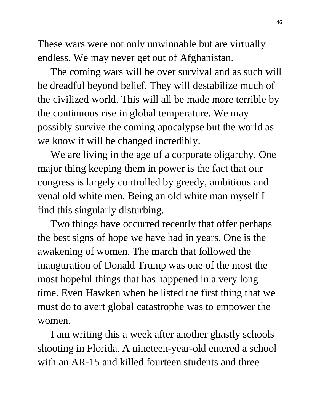These wars were not only unwinnable but are virtually endless. We may never get out of Afghanistan.

 The coming wars will be over survival and as such will be dreadful beyond belief. They will destabilize much of the civilized world. This will all be made more terrible by the continuous rise in global temperature. We may possibly survive the coming apocalypse but the world as we know it will be changed incredibly.

 We are living in the age of a corporate oligarchy. One major thing keeping them in power is the fact that our congress is largely controlled by greedy, ambitious and venal old white men. Being an old white man myself I find this singularly disturbing.

 Two things have occurred recently that offer perhaps the best signs of hope we have had in years. One is the awakening of women. The march that followed the inauguration of Donald Trump was one of the most the most hopeful things that has happened in a very long time. Even Hawken when he listed the first thing that we must do to avert global catastrophe was to empower the women.

 I am writing this a week after another ghastly schools shooting in Florida. A nineteen-year-old entered a school with an AR-15 and killed fourteen students and three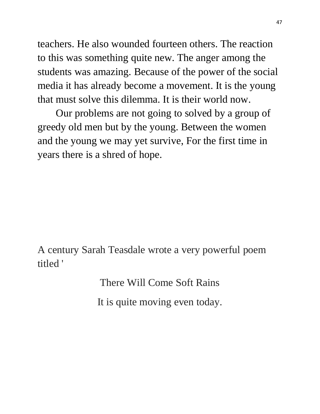teachers. He also wounded fourteen others. The reaction to this was something quite new. The anger among the students was amazing. Because of the power of the social media it has already become a movement. It is the young that must solve this dilemma. It is their world now.

 Our problems are not going to solved by a group of greedy old men but by the young. Between the women and the young we may yet survive, For the first time in years there is a shred of hope.

A century Sarah Teasdale wrote a very powerful poem titled '

There Will Come Soft Rains

It is quite moving even today.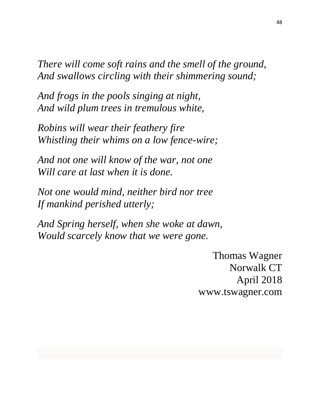*There will come soft rains and the smell of the ground, And swallows circling with their shimmering sound;*

*And frogs in the pools singing at night, And wild plum trees in tremulous white,*

*Robins will wear their feathery fire Whistling their whims on a low fence-wire;*

*And not one will know of the war, not one Will care at last when it is done.*

*Not one would mind, neither bird nor tree If mankind perished utterly;*

*And Spring herself, when she woke at dawn, Would scarcely know that we were gone.* 

> Thomas Wagner Norwalk CT April 2018 www.tswagner.com